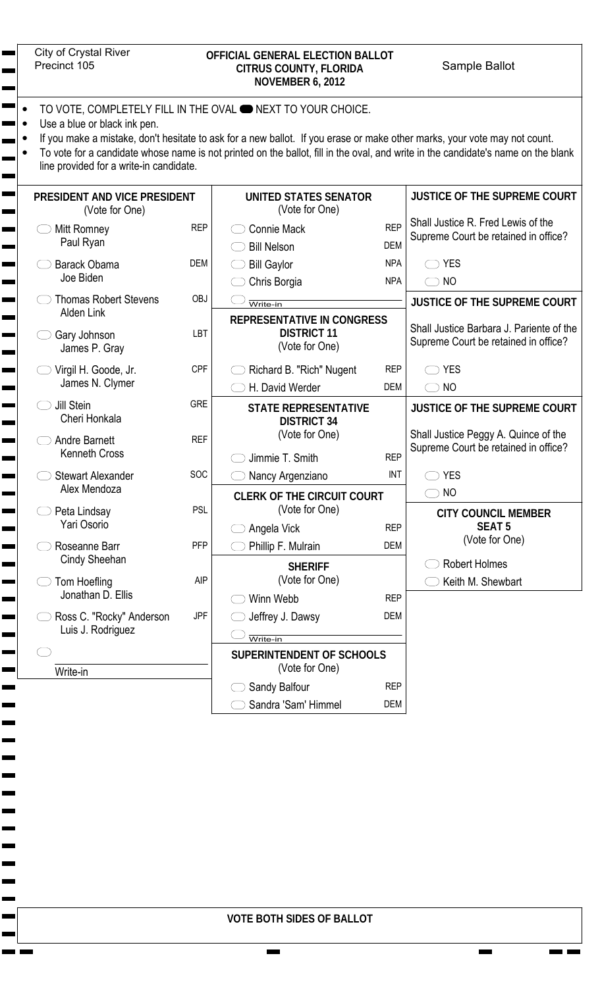| City of Crystal Rive |  |
|----------------------|--|
| Precinct 105         |  |

## City of Crystal River OFFICIAL GENERAL ELECTION BALLOT<br>Precinct 105 CITRUS COUNTY, FLORIDA Sample Ballot **CITRUS COUNTY, FLORIDA NOVEMBER 6, 2012**

- TO VOTE, COMPLETELY FILL IN THE OVAL **ONEXT TO YOUR CHOICE.**
- Use a blue or black ink pen.
- If you make a mistake, don't hesitate to ask for a new ballot. If you erase or make other marks, your vote may not count.
- To vote for a candidate whose name is not printed on the ballot, fill in the oval, and write in the candidate's name on the blank line provided for a write-in candidate.

| PRESIDENT AND VICE PRESIDENT<br>(Vote for One)    |            | <b>UNITED STATES SENATOR</b><br>(Vote for One)    |                          | <b>JUSTICE OF THE SUPREME COURT</b>                                              |
|---------------------------------------------------|------------|---------------------------------------------------|--------------------------|----------------------------------------------------------------------------------|
| Mitt Romney<br>Paul Ryan                          | <b>REP</b> | <b>Connie Mack</b><br><b>Bill Nelson</b>          | <b>REP</b><br><b>DEM</b> | Shall Justice R. Fred Lewis of the<br>Supreme Court be retained in office?       |
| <b>Barack Obama</b><br>Joe Biden                  | <b>DEM</b> | <b>Bill Gaylor</b><br>Chris Borgia                | <b>NPA</b><br><b>NPA</b> | <b>YES</b><br>$\bigcirc$ NO                                                      |
| <b>Thomas Robert Stevens</b><br><b>Alden Link</b> | <b>OBJ</b> | Write-in<br><b>REPRESENTATIVE IN CONGRESS</b>     |                          | JUSTICE OF THE SUPREME COURT                                                     |
| Gary Johnson<br>James P. Gray                     | LBT        | <b>DISTRICT 11</b><br>(Vote for One)              |                          | Shall Justice Barbara J. Pariente of the<br>Supreme Court be retained in office? |
| Virgil H. Goode, Jr.                              | <b>CPF</b> | Richard B. "Rich" Nugent                          | <b>REP</b>               | <b>YES</b>                                                                       |
| James N. Clymer                                   |            | H. David Werder                                   | <b>DEM</b>               | $\bigcirc$ NO                                                                    |
| Jill Stein<br>Cheri Honkala                       | <b>GRE</b> | <b>STATE REPRESENTATIVE</b><br><b>DISTRICT 34</b> |                          | <b>JUSTICE OF THE SUPREME COURT</b>                                              |
| <b>Andre Barnett</b><br><b>Kenneth Cross</b>      | <b>REF</b> | (Vote for One)<br>Jimmie T. Smith                 | <b>REP</b>               | Shall Justice Peggy A. Quince of the<br>Supreme Court be retained in office?     |
| <b>Stewart Alexander</b>                          | SOC        | Nancy Argenziano                                  | INT                      | <b>YES</b>                                                                       |
| Alex Mendoza                                      |            | <b>CLERK OF THE CIRCUIT COURT</b>                 |                          | $\bigcirc$ NO                                                                    |
| Peta Lindsay<br>Yari Osorio                       | <b>PSL</b> | (Vote for One)<br>Angela Vick                     | <b>REP</b>               | <b>CITY COUNCIL MEMBER</b><br><b>SEAT 5</b>                                      |
| Roseanne Barr                                     | <b>PFP</b> | Phillip F. Mulrain                                | <b>DEM</b>               | (Vote for One)                                                                   |
| Cindy Sheehan                                     |            | <b>SHERIFF</b>                                    |                          | <b>Robert Holmes</b>                                                             |
| Tom Hoefling<br>Jonathan D. Ellis                 | <b>AIP</b> | (Vote for One)                                    |                          | Keith M. Shewbart                                                                |
|                                                   |            | Winn Webb                                         | <b>REP</b>               |                                                                                  |
| Ross C. "Rocky" Anderson<br>Luis J. Rodriguez     | <b>JPF</b> | Jeffrey J. Dawsy<br>$\overline{\text{Write-in}}$  | DEM                      |                                                                                  |
| Write-in                                          |            | SUPERINTENDENT OF SCHOOLS<br>(Vote for One)       |                          |                                                                                  |
|                                                   |            | Sandy Balfour<br>$\cup$                           | <b>REP</b>               |                                                                                  |
|                                                   |            | Sandra 'Sam' Himmel                               | DEM                      |                                                                                  |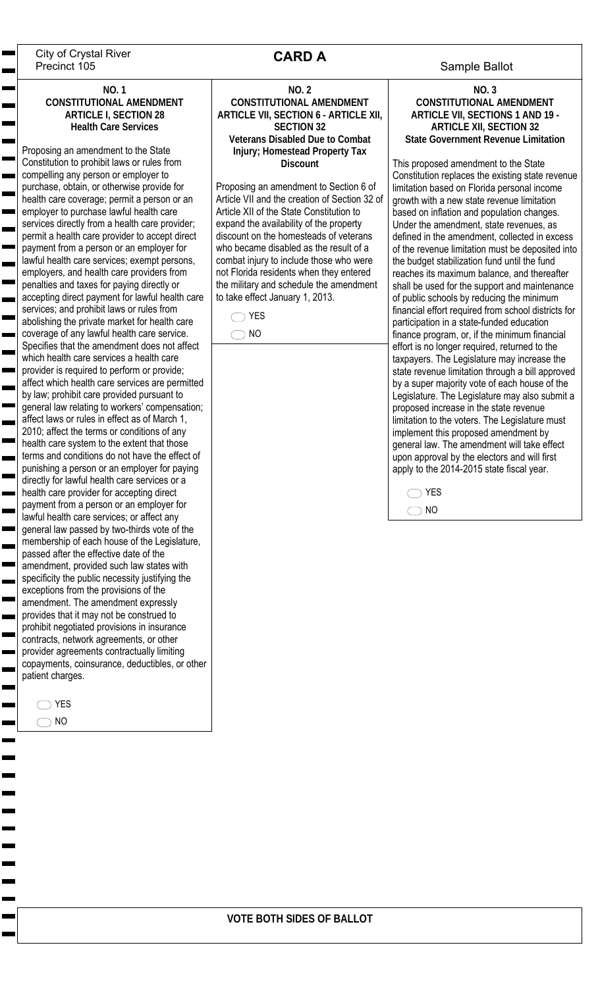City of Crystal River<br>Precinct 105 **CARD A** Sample Ballot Precinct 105

### **NO. 1 CONSTITUTIONAL AMENDMENT ARTICLE I, SECTION 28 Health Care Services**

Proposing an amendment to the State Constitution to prohibit laws or rules from compelling any person or employer to purchase, obtain, or otherwise provide for health care coverage; permit a person or an employer to purchase lawful health care services directly from a health care provider; permit a health care provider to accept direct payment from a person or an employer for lawful health care services; exempt persons, employers, and health care providers from penalties and taxes for paying directly or accepting direct payment for lawful health care services; and prohibit laws or rules from abolishing the private market for health care coverage of any lawful health care service. Specifies that the amendment does not affect which health care services a health care provider is required to perform or provide; affect which health care services are permitted by law; prohibit care provided pursuant to general law relating to workers' compensation; affect laws or rules in effect as of March 1, 2010; affect the terms or conditions of any health care system to the extent that those terms and conditions do not have the effect of punishing a person or an employer for paying directly for lawful health care services or a health care provider for accepting direct payment from a person or an employer for lawful health care services; or affect any general law passed by two-thirds vote of the membership of each house of the Legislature, passed after the effective date of the amendment, provided such law states with specificity the public necessity justifying the exceptions from the provisions of the amendment. The amendment expressly provides that it may not be construed to prohibit negotiated provisions in insurance contracts, network agreements, or other provider agreements contractually limiting copayments, coinsurance, deductibles, or other patient charges.

 $\bigcirc$  YES  $\bigcirc$  NO

# **CARD A**

**NO. 2 CONSTITUTIONAL AMENDMENT ARTICLE VII, SECTION 6 - ARTICLE XII, SECTION 32 Veterans Disabled Due to Combat Injury; Homestead Property Tax Discount** 

Proposing an amendment to Section 6 of Article VII and the creation of Section 32 of Article XII of the State Constitution to expand the availability of the property discount on the homesteads of veterans who became disabled as the result of a combat injury to include those who were not Florida residents when they entered the military and schedule the amendment to take effect January 1, 2013.

 $\bigcirc$  YES

 $\bigcirc$  NO

**NO. 3 CONSTITUTIONAL AMENDMENT ARTICLE VII, SECTIONS 1 AND 19 - ARTICLE XII, SECTION 32 State Government Revenue Limitation**

This proposed amendment to the State Constitution replaces the existing state revenue limitation based on Florida personal income growth with a new state revenue limitation based on inflation and population changes. Under the amendment, state revenues, as defined in the amendment, collected in excess of the revenue limitation must be deposited into the budget stabilization fund until the fund reaches its maximum balance, and thereafter shall be used for the support and maintenance of public schools by reducing the minimum financial effort required from school districts for participation in a state-funded education finance program, or, if the minimum financial effort is no longer required, returned to the taxpayers. The Legislature may increase the state revenue limitation through a bill approved by a super majority vote of each house of the Legislature. The Legislature may also submit a proposed increase in the state revenue limitation to the voters. The Legislature must implement this proposed amendment by general law. The amendment will take effect upon approval by the electors and will first apply to the 2014-2015 state fiscal year.

◯ YES  $\bigcirc$  NO

## **VOTE BOTH SIDES OF BALLOT**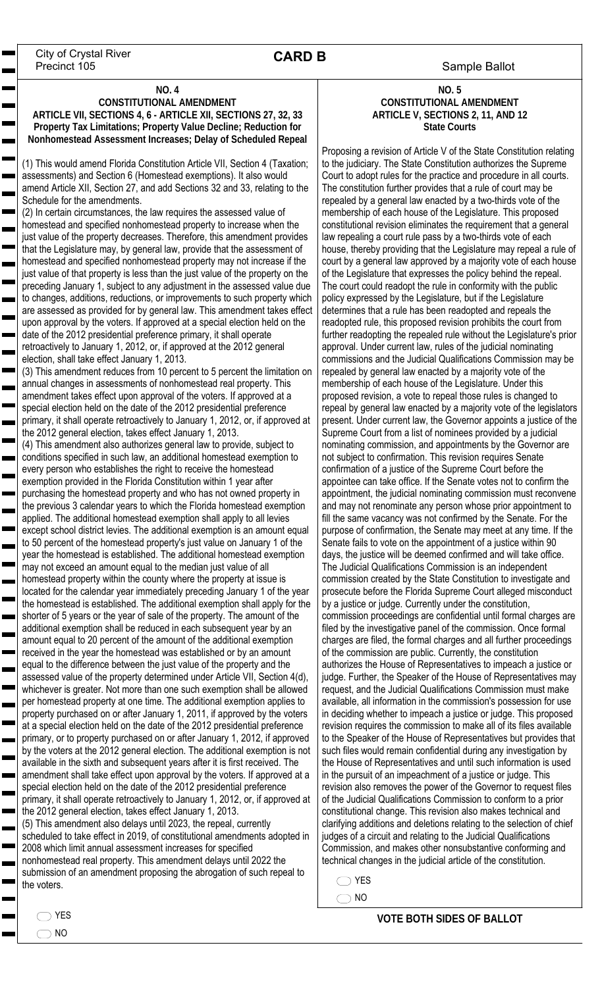Sample Ballot City of Crystal River Precinct 105

# **CARD B**

#### **NO. 4**

### **CONSTITUTIONAL AMENDMENT ARTICLE VII, SECTIONS 4, 6 - ARTICLE XII, SECTIONS 27, 32, 33 Property Tax Limitations; Property Value Decline; Reduction for Nonhomestead Assessment Increases; Delay of Scheduled Repeal**

(1) This would amend Florida Constitution Article VII, Section 4 (Taxation; assessments) and Section 6 (Homestead exemptions). It also would amend Article XII, Section 27, and add Sections 32 and 33, relating to the Schedule for the amendments.

(2) In certain circumstances, the law requires the assessed value of homestead and specified nonhomestead property to increase when the just value of the property decreases. Therefore, this amendment provides that the Legislature may, by general law, provide that the assessment of homestead and specified nonhomestead property may not increase if the just value of that property is less than the just value of the property on the preceding January 1, subject to any adjustment in the assessed value due to changes, additions, reductions, or improvements to such property which are assessed as provided for by general law. This amendment takes effect upon approval by the voters. If approved at a special election held on the date of the 2012 presidential preference primary, it shall operate retroactively to January 1, 2012, or, if approved at the 2012 general election, shall take effect January 1, 2013.

(3) This amendment reduces from 10 percent to 5 percent the limitation on annual changes in assessments of nonhomestead real property. This amendment takes effect upon approval of the voters. If approved at a special election held on the date of the 2012 presidential preference primary, it shall operate retroactively to January 1, 2012, or, if approved at the 2012 general election, takes effect January 1, 2013.

(4) This amendment also authorizes general law to provide, subject to conditions specified in such law, an additional homestead exemption to every person who establishes the right to receive the homestead exemption provided in the Florida Constitution within 1 year after purchasing the homestead property and who has not owned property in the previous 3 calendar years to which the Florida homestead exemption applied. The additional homestead exemption shall apply to all levies except school district levies. The additional exemption is an amount equal to 50 percent of the homestead property's just value on January 1 of the year the homestead is established. The additional homestead exemption may not exceed an amount equal to the median just value of all homestead property within the county where the property at issue is located for the calendar year immediately preceding January 1 of the year the homestead is established. The additional exemption shall apply for the shorter of 5 years or the year of sale of the property. The amount of the additional exemption shall be reduced in each subsequent year by an amount equal to 20 percent of the amount of the additional exemption received in the year the homestead was established or by an amount equal to the difference between the just value of the property and the assessed value of the property determined under Article VII, Section 4(d), whichever is greater. Not more than one such exemption shall be allowed per homestead property at one time. The additional exemption applies to property purchased on or after January 1, 2011, if approved by the voters at a special election held on the date of the 2012 presidential preference primary, or to property purchased on or after January 1, 2012, if approved by the voters at the 2012 general election. The additional exemption is not available in the sixth and subsequent years after it is first received. The amendment shall take effect upon approval by the voters. If approved at a special election held on the date of the 2012 presidential preference primary, it shall operate retroactively to January 1, 2012, or, if approved at the 2012 general election, takes effect January 1, 2013.

(5) This amendment also delays until 2023, the repeal, currently scheduled to take effect in 2019, of constitutional amendments adopted in 2008 which limit annual assessment increases for specified nonhomestead real property. This amendment delays until 2022 the submission of an amendment proposing the abrogation of such repeal to the voters.

### **NO. 5 CONSTITUTIONAL AMENDMENT ARTICLE V, SECTIONS 2, 11, AND 12 State Courts**

Proposing a revision of Article V of the State Constitution relating to the judiciary. The State Constitution authorizes the Supreme Court to adopt rules for the practice and procedure in all courts. The constitution further provides that a rule of court may be repealed by a general law enacted by a two-thirds vote of the membership of each house of the Legislature. This proposed constitutional revision eliminates the requirement that a general law repealing a court rule pass by a two-thirds vote of each house, thereby providing that the Legislature may repeal a rule of court by a general law approved by a majority vote of each house of the Legislature that expresses the policy behind the repeal. The court could readopt the rule in conformity with the public policy expressed by the Legislature, but if the Legislature determines that a rule has been readopted and repeals the readopted rule, this proposed revision prohibits the court from further readopting the repealed rule without the Legislature's prior approval. Under current law, rules of the judicial nominating commissions and the Judicial Qualifications Commission may be repealed by general law enacted by a majority vote of the membership of each house of the Legislature. Under this proposed revision, a vote to repeal those rules is changed to repeal by general law enacted by a majority vote of the legislators present. Under current law, the Governor appoints a justice of the Supreme Court from a list of nominees provided by a judicial nominating commission, and appointments by the Governor are not subject to confirmation. This revision requires Senate confirmation of a justice of the Supreme Court before the appointee can take office. If the Senate votes not to confirm the appointment, the judicial nominating commission must reconvene and may not renominate any person whose prior appointment to fill the same vacancy was not confirmed by the Senate. For the purpose of confirmation, the Senate may meet at any time. If the Senate fails to vote on the appointment of a justice within 90 days, the justice will be deemed confirmed and will take office. The Judicial Qualifications Commission is an independent commission created by the State Constitution to investigate and prosecute before the Florida Supreme Court alleged misconduct by a justice or judge. Currently under the constitution, commission proceedings are confidential until formal charges are filed by the investigative panel of the commission. Once formal charges are filed, the formal charges and all further proceedings of the commission are public. Currently, the constitution authorizes the House of Representatives to impeach a justice or judge. Further, the Speaker of the House of Representatives may request, and the Judicial Qualifications Commission must make available, all information in the commission's possession for use in deciding whether to impeach a justice or judge. This proposed revision requires the commission to make all of its files available to the Speaker of the House of Representatives but provides that such files would remain confidential during any investigation by the House of Representatives and until such information is used in the pursuit of an impeachment of a justice or judge. This revision also removes the power of the Governor to request files of the Judicial Qualifications Commission to conform to a prior constitutional change. This revision also makes technical and clarifying additions and deletions relating to the selection of chief judges of a circuit and relating to the Judicial Qualifications Commission, and makes other nonsubstantive conforming and technical changes in the judicial article of the constitution.

 $\bigcirc$  YES

 $\bigcirc$  NO

 $\bigcirc$  NO